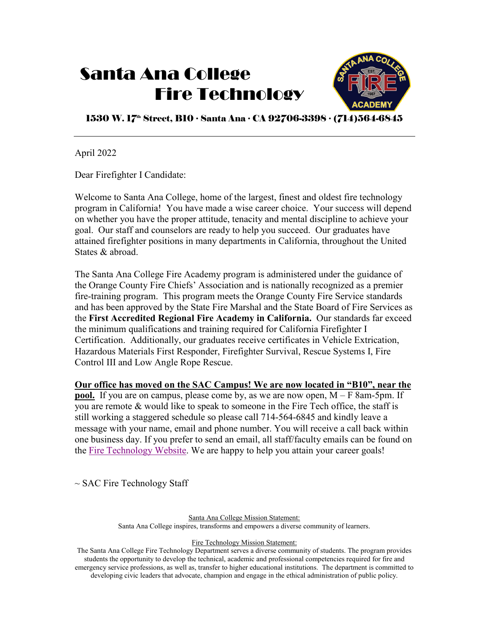# Santa Ana College Fire Technology



1530 W. 17<sup>th</sup> Street, B10 ∙ Santa Ana ∙ CA 92706-3398 ∙ (714)564-6845

April 2022

Dear Firefighter I Candidate:

Welcome to Santa Ana College, home of the largest, finest and oldest fire technology program in California! You have made a wise career choice. Your success will depend on whether you have the proper attitude, tenacity and mental discipline to achieve your goal. Our staff and counselors are ready to help you succeed. Our graduates have attained firefighter positions in many departments in California, throughout the United States & abroad.

The Santa Ana College Fire Academy program is administered under the guidance of the Orange County Fire Chiefs' Association and is nationally recognized as a premier fire-training program. This program meets the Orange County Fire Service standards and has been approved by the State Fire Marshal and the State Board of Fire Services as the **First Accredited Regional Fire Academy in California.** Our standards far exceed the minimum qualifications and training required for California Firefighter I Certification. Additionally, our graduates receive certificates in Vehicle Extrication, Hazardous Materials First Responder, Firefighter Survival, Rescue Systems I, Fire Control III and Low Angle Rope Rescue.

**Our office has moved on the SAC Campus! We are now located in "B10", near the pool.** If you are on campus, please come by, as we are now open,  $M - F$  8am-5pm. If you are remote & would like to speak to someone in the Fire Tech office, the staff is still working a staggered schedule so please call 714-564-6845 and kindly leave a message with your name, email and phone number. You will receive a call back within one business day. If you prefer to send an email, all staff/faculty emails can be found on the [Fire Technology Website.](https://www.sac.edu/AcademicProgs/HST/FireTech/Pages/default.aspx) We are happy to help you attain your career goals!

 $\sim$  SAC Fire Technology Staff

Santa Ana College Mission Statement:

Santa Ana College inspires, transforms and empowers a diverse community of learners.

Fire Technology Mission Statement:

The Santa Ana College Fire Technology Department serves a diverse community of students. The program provides students the opportunity to develop the technical, academic and professional competencies required for fire and emergency service professions, as well as, transfer to higher educational institutions. The department is committed to developing civic leaders that advocate, champion and engage in the ethical administration of public policy.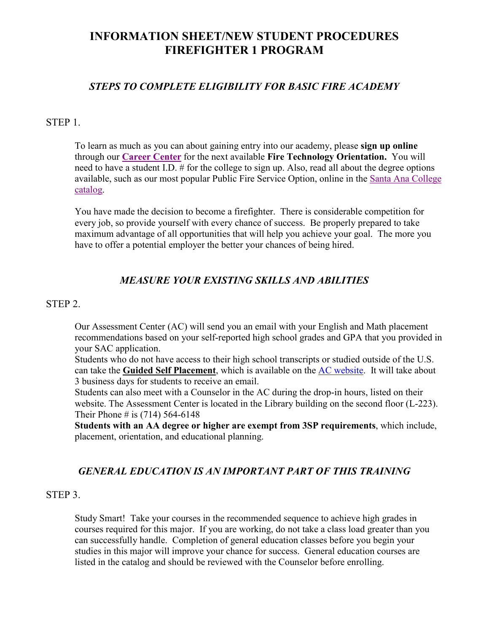## **INFORMATION SHEET/NEW STUDENT PROCEDURES FIREFIGHTER 1 PROGRAM**

## *STEPS TO COMPLETE ELIGIBILITY FOR BASIC FIRE ACADEMY*

#### STEP 1.

To learn as much as you can about gaining entry into our academy, please **sign up online** through our **[Career Center](https://www.sac.edu/StudentServices/Counseling/CareerCenter/Pages/default.aspx)** for the next available **Fire Technology Orientation.** You will need to have a student I.D. # for the college to sign up. Also, read all about the degree options available, such as our most popular Public Fire Service Option, online in the [Santa Ana College](https://www.sac.edu/CatalogAndSchedule/Pages/catalog.aspx)  [catalog.](https://www.sac.edu/CatalogAndSchedule/Pages/catalog.aspx)

You have made the decision to become a firefighter. There is considerable competition for every job, so provide yourself with every chance of success. Be properly prepared to take maximum advantage of all opportunities that will help you achieve your goal. The more you have to offer a potential employer the better your chances of being hired.

## *MEASURE YOUR EXISTING SKILLS AND ABILITIES*

### STEP 2.

 Our Assessment Center (AC) will send you an email with your English and Math placement recommendations based on your self-reported high school grades and GPA that you provided in your SAC application.

 Students who do not have access to their high school transcripts or studied outside of the U.S. can take the **Guided Self Placement**, which is available on the [AC website.](https://www.sac.edu/StudentServices/AssessmentCenter/Pages/default.aspx) It will take about 3 business days for students to receive an email.

Students can also meet with a Counselor in the AC during the drop-in hours, listed on their website. The Assessment Center is located in the Library building on the second floor (L-223). Their Phone  $\#$  is (714) 564-6148

**Students with an AA degree or higher are exempt from 3SP requirements**, which include, placement, orientation, and educational planning.

## *GENERAL EDUCATION IS AN IMPORTANT PART OF THIS TRAINING*

#### STEP 3.

Study Smart! Take your courses in the recommended sequence to achieve high grades in courses required for this major. If you are working, do not take a class load greater than you can successfully handle. Completion of general education classes before you begin your studies in this major will improve your chance for success. General education courses are listed in the catalog and should be reviewed with the Counselor before enrolling.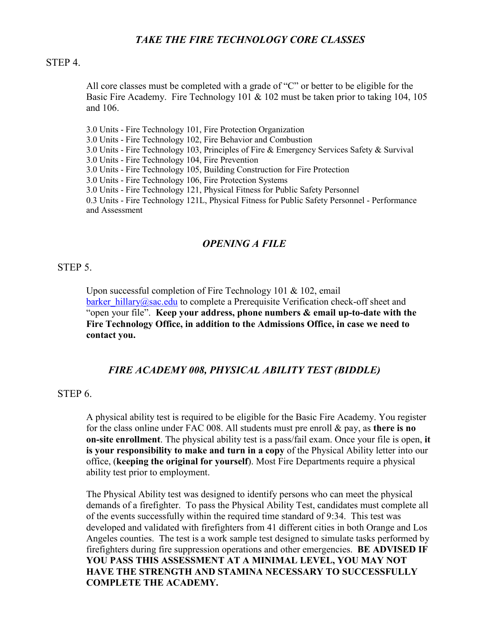## *TAKE THE FIRE TECHNOLOGY CORE CLASSES*

#### STEP 4.

All core classes must be completed with a grade of "C" or better to be eligible for the Basic Fire Academy. Fire Technology 101 & 102 must be taken prior to taking 104, 105 and 106.

3.0 Units - Fire Technology 101, Fire Protection Organization

3.0 Units - Fire Technology 102, Fire Behavior and Combustion

3.0 Units - Fire Technology 103, Principles of Fire & Emergency Services Safety & Survival

3.0 Units - Fire Technology 104, Fire Prevention

3.0 Units - Fire Technology 105, Building Construction for Fire Protection

3.0 Units - Fire Technology 106, Fire Protection Systems

3.0 Units - Fire Technology 121, Physical Fitness for Public Safety Personnel

0.3 Units - Fire Technology 121L, Physical Fitness for Public Safety Personnel - Performance and Assessment

#### *OPENING A FILE*

#### STEP 5.

Upon successful completion of Fire Technology 101 & 102, email [barker\\_hillary@sac.edu](mailto:barker_hillary@sac.edu) to complete a Prerequisite Verification check-off sheet and "open your file". **Keep your address, phone numbers & email up-to-date with the Fire Technology Office, in addition to the Admissions Office, in case we need to contact you.** 

#### *FIRE ACADEMY 008, PHYSICAL ABILITY TEST (BIDDLE)*

#### STEP 6.

A physical ability test is required to be eligible for the Basic Fire Academy. You register for the class online under FAC 008. All students must pre enroll & pay, as **there is no on-site enrollment**. The physical ability test is a pass/fail exam. Once your file is open, **it is your responsibility to make and turn in a copy** of the Physical Ability letter into our office, (**keeping the original for yourself**). Most Fire Departments require a physical ability test prior to employment.

The Physical Ability test was designed to identify persons who can meet the physical demands of a firefighter. To pass the Physical Ability Test, candidates must complete all of the events successfully within the required time standard of 9:34. This test was developed and validated with firefighters from 41 different cities in both Orange and Los Angeles counties. The test is a work sample test designed to simulate tasks performed by firefighters during fire suppression operations and other emergencies. **BE ADVISED IF YOU PASS THIS ASSESSMENT AT A MINIMAL LEVEL, YOU MAY NOT HAVE THE STRENGTH AND STAMINA NECESSARY TO SUCCESSFULLY COMPLETE THE ACADEMY.**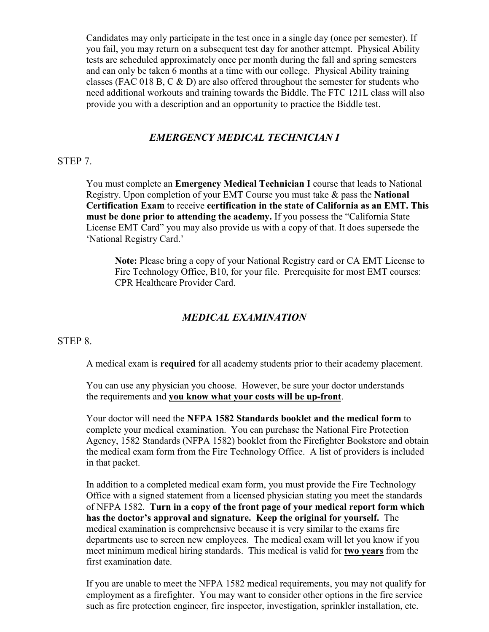Candidates may only participate in the test once in a single day (once per semester). If you fail, you may return on a subsequent test day for another attempt. Physical Ability tests are scheduled approximately once per month during the fall and spring semesters and can only be taken 6 months at a time with our college. Physical Ability training classes (FAC 018 B, C & D) are also offered throughout the semester for students who need additional workouts and training towards the Biddle. The FTC 121L class will also provide you with a description and an opportunity to practice the Biddle test.

## *EMERGENCY MEDICAL TECHNICIAN I*

#### STEP 7.

You must complete an **Emergency Medical Technician I** course that leads to National Registry. Upon completion of your EMT Course you must take & pass the **National Certification Exam** to receive **certification in the state of California as an EMT. This must be done prior to attending the academy.** If you possess the "California State License EMT Card" you may also provide us with a copy of that. It does supersede the 'National Registry Card.'

**Note:** Please bring a copy of your National Registry card or CA EMT License to Fire Technology Office, B10, for your file. Prerequisite for most EMT courses: CPR Healthcare Provider Card.

## *MEDICAL EXAMINATION*

#### STEP 8.

A medical exam is **required** for all academy students prior to their academy placement.

 You can use any physician you choose. However, be sure your doctor understands the requirements and **you know what your costs will be up-front**.

Your doctor will need the **NFPA 1582 Standards booklet and the medical form** to complete your medical examination. You can purchase the National Fire Protection Agency, 1582 Standards (NFPA 1582) booklet from the Firefighter Bookstore and obtain the medical exam form from the Fire Technology Office. A list of providers is included in that packet.

In addition to a completed medical exam form, you must provide the Fire Technology Office with a signed statement from a licensed physician stating you meet the standards of NFPA 1582. **Turn in a copy of the front page of your medical report form which has the doctor's approval and signature. Keep the original for yourself.** The medical examination is comprehensive because it is very similar to the exams fire departments use to screen new employees. The medical exam will let you know if you meet minimum medical hiring standards. This medical is valid for **two years** from the first examination date.

If you are unable to meet the NFPA 1582 medical requirements, you may not qualify for employment as a firefighter. You may want to consider other options in the fire service such as fire protection engineer, fire inspector, investigation, sprinkler installation, etc.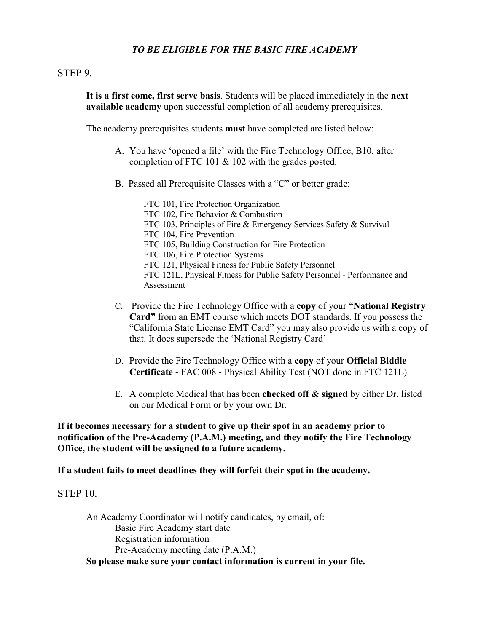## *TO BE ELIGIBLE FOR THE BASIC FIRE ACADEMY*

#### STEP 9.

**It is a first come, first serve basis**. Students will be placed immediately in the **next available academy** upon successful completion of all academy prerequisites.

The academy prerequisites students **must** have completed are listed below:

- A. You have 'opened a file' with the Fire Technology Office, B10, after completion of FTC 101 & 102 with the grades posted.
- B. Passed all Prerequisite Classes with a "C" or better grade:

FTC 101, Fire Protection Organization FTC 102, Fire Behavior & Combustion FTC 103, Principles of Fire & Emergency Services Safety & Survival FTC 104, Fire Prevention FTC 105, Building Construction for Fire Protection FTC 106, Fire Protection Systems FTC 121, Physical Fitness for Public Safety Personnel FTC 121L, Physical Fitness for Public Safety Personnel - Performance and Assessment

- C. Provide the Fire Technology Office with a **copy** of your **"National Registry Card"** from an EMT course which meets DOT standards. If you possess the "California State License EMT Card" you may also provide us with a copy of that. It does supersede the 'National Registry Card'
- D. Provide the Fire Technology Office with a **copy** of your **Official Biddle Certificate** - FAC 008 - Physical Ability Test (NOT done in FTC 121L)
- E. A complete Medical that has been **checked off & signed** by either Dr. listed on our Medical Form or by your own Dr.

**If it becomes necessary for a student to give up their spot in an academy prior to notification of the Pre-Academy (P.A.M.) meeting, and they notify the Fire Technology Office, the student will be assigned to a future academy.** 

**If a student fails to meet deadlines they will forfeit their spot in the academy.**

### STEP 10.

An Academy Coordinator will notify candidates, by email, of: Basic Fire Academy start date Registration information Pre-Academy meeting date (P.A.M.) **So please make sure your contact information is current in your file.**